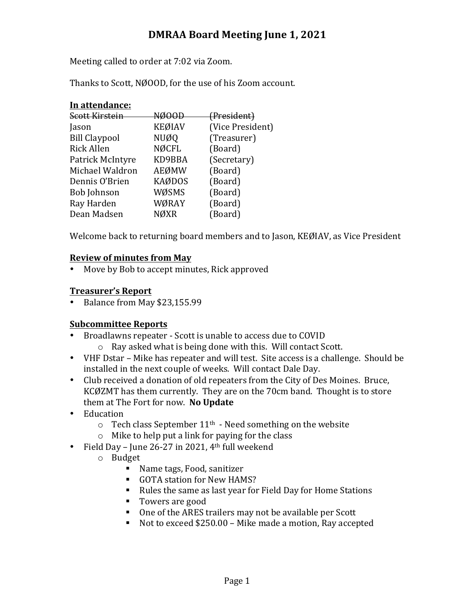# **DMRAA Board Meeting June 1, 2021**

Meeting called to order at 7:02 via Zoom.

Thanks to Scott, NØOOD, for the use of his Zoom account.

| In attendance:       |               |                        |
|----------------------|---------------|------------------------|
| Scott Kirstein       | NØOOD         | <del>(President)</del> |
| Jason                | <b>KEØIAV</b> | (Vice President)       |
| <b>Bill Claypool</b> | <b>NUØQ</b>   | (Treasurer)            |
| <b>Rick Allen</b>    | <b>NØCFL</b>  | (Board)                |
| Patrick McIntyre     | KD9BBA        | (Secretary)            |
| Michael Waldron      | AEØMW         | (Board)                |
| Dennis O'Brien       | <b>KAØDOS</b> | (Board)                |
| <b>Bob Johnson</b>   | WØSMS         | (Board)                |
| Ray Harden           | WØRAY         | (Board)                |
| Dean Madsen          | NØXR          | (Board)                |
|                      |               |                        |

Welcome back to returning board members and to Jason, KEØIAV, as Vice President

### **Review of minutes from May**

• Move by Bob to accept minutes, Rick approved

### **Treasurer's Report**

• Balance from May \$23,155.99

## **Subcommittee Reports**

- Broadlawns repeater Scott is unable to access due to COVID
	- $\circ$  Ray asked what is being done with this. Will contact Scott.
- VHF Dstar Mike has repeater and will test. Site access is a challenge. Should be installed in the next couple of weeks. Will contact Dale Day.
- Club received a donation of old repeaters from the City of Des Moines. Bruce, KCØZMT has them currently. They are on the 70cm band. Thought is to store them at The Fort for now. No Update
- Education
	- $\circ$  Tech class September 11<sup>th</sup> Need something on the website
	- $\circ$  Mike to help put a link for paying for the class
- Field Day June 26-27 in 2021,  $4<sup>th</sup>$  full weekend
	- o Budget
		- Name tags, Food, sanitizer
		- GOTA station for New HAMS?
		- Rules the same as last year for Field Day for Home Stations
		- Towers are good
		- One of the ARES trailers may not be available per Scott
		- Not to exceed \$250.00 Mike made a motion, Ray accepted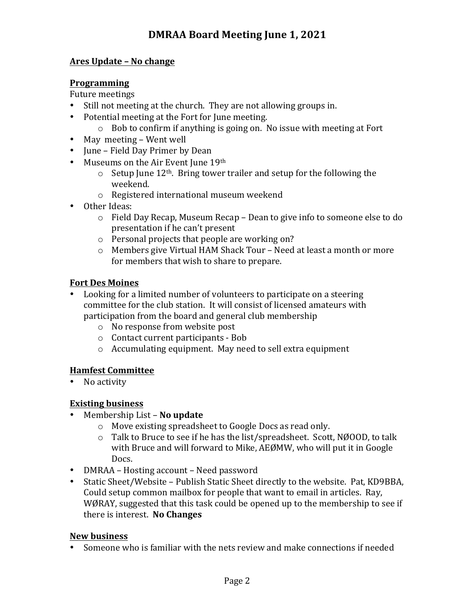### **Ares Update – No change**

#### **Programming**

Future meetings

- Still not meeting at the church. They are not allowing groups in.
- Potential meeting at the Fort for June meeting.
	- $\circ$  Bob to confirm if anything is going on. No issue with meeting at Fort
- May meeting Went well
- June Field Day Primer by Dean
- Museums on the Air Event June 19th
	- $\circ$  Setup June 12<sup>th</sup>. Bring tower trailer and setup for the following the weekend.
	- $\circ$  Registered international museum weekend
- Other Ideas:
	- $\circ$  Field Day Recap, Museum Recap Dean to give info to someone else to do presentation if he can't present
	- $\circ$  Personal projects that people are working on?
	- $\circ$  Members give Virtual HAM Shack Tour Need at least a month or more for members that wish to share to prepare.

### **Fort Des Moines**

- Looking for a limited number of volunteers to participate on a steering committee for the club station. It will consist of licensed amateurs with participation from the board and general club membership
	- o No response from website post
	- $\circ$  Contact current participants Bob
	- $\circ$  Accumulating equipment. May need to sell extra equipment

#### **Hamfest Committee**

• No activity

## **Existing business**

- Membership List **No update** 
	- o Move existing spreadsheet to Google Docs as read only.
	- $\circ$  Talk to Bruce to see if he has the list/spreadsheet. Scott, NØOOD, to talk with Bruce and will forward to Mike, AEØMW, who will put it in Google Docs.
- DMRAA Hosting account Need password
- Static Sheet/Website Publish Static Sheet directly to the website. Pat, KD9BBA, Could setup common mailbox for people that want to email in articles. Ray, WØRAY, suggested that this task could be opened up to the membership to see if there is interest. **No Changes**

#### **New business**

• Someone who is familiar with the nets review and make connections if needed